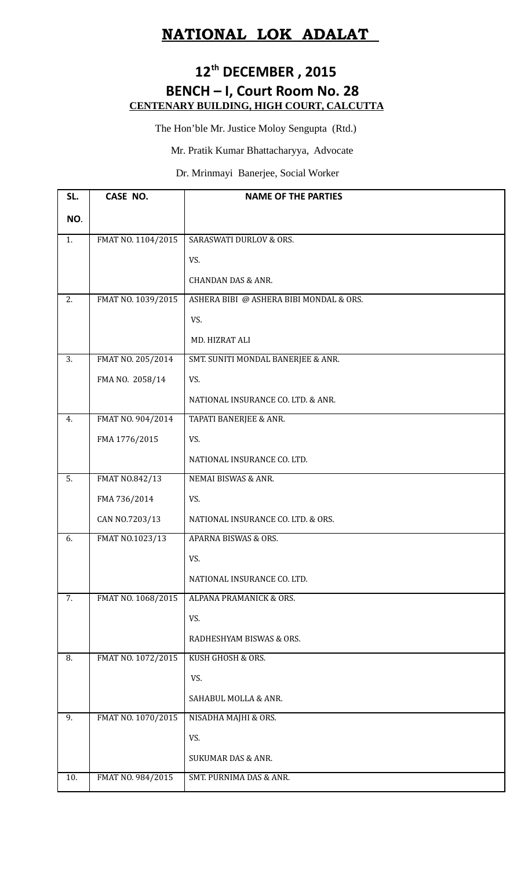## **NATIONAL LOK ADALAT**

## **12th DECEMBER , 2015 BENCH – I, Court Room No. 28 CENTENARY BUILDING, HIGH COURT, CALCUTTA**

The Hon'ble Mr. Justice Moloy Sengupta (Rtd.)

Mr. Pratik Kumar Bhattacharyya, Advocate

Dr. Mrinmayi Banerjee, Social Worker

| SL.              | CASE NO.              | <b>NAME OF THE PARTIES</b>              |
|------------------|-----------------------|-----------------------------------------|
| NO.              |                       |                                         |
| 1.               | FMAT NO. 1104/2015    | SARASWATI DURLOV & ORS.                 |
|                  |                       | VS.                                     |
|                  |                       | <b>CHANDAN DAS &amp; ANR.</b>           |
| 2.               | FMAT NO. 1039/2015    | ASHERA BIBI @ ASHERA BIBI MONDAL & ORS. |
|                  |                       | VS.                                     |
|                  |                       | MD. HIZRAT ALI                          |
| $\overline{3}$ . | FMAT NO. 205/2014     | SMT. SUNITI MONDAL BANERJEE & ANR.      |
|                  | FMA NO. 2058/14       | VS.                                     |
|                  |                       | NATIONAL INSURANCE CO. LTD. & ANR.      |
| 4.               | FMAT NO. 904/2014     | TAPATI BANERJEE & ANR.                  |
|                  | FMA 1776/2015         | VS.                                     |
|                  |                       | NATIONAL INSURANCE CO. LTD.             |
| 5.               | <b>FMAT NO.842/13</b> | NEMAI BISWAS & ANR.                     |
|                  | FMA 736/2014          | VS.                                     |
|                  | CAN NO.7203/13        | NATIONAL INSURANCE CO. LTD. & ORS.      |
| 6.               | FMAT NO.1023/13       | APARNA BISWAS & ORS.                    |
|                  |                       | VS.                                     |
|                  |                       | NATIONAL INSURANCE CO. LTD.             |
| 7.               | FMAT NO. 1068/2015    | ALPANA PRAMANICK & ORS.                 |
|                  |                       | VS.                                     |
|                  |                       | RADHESHYAM BISWAS & ORS.                |
| 8.               | FMAT NO. 1072/2015    | KUSH GHOSH & ORS.                       |
|                  |                       | VS.                                     |
|                  |                       | SAHABUL MOLLA & ANR.                    |
| 9.               | FMAT NO. 1070/2015    | NISADHA MAJHI & ORS.                    |
|                  |                       | VS.                                     |
|                  |                       | <b>SUKUMAR DAS &amp; ANR.</b>           |
| 10.              | FMAT NO. 984/2015     | SMT. PURNIMA DAS & ANR.                 |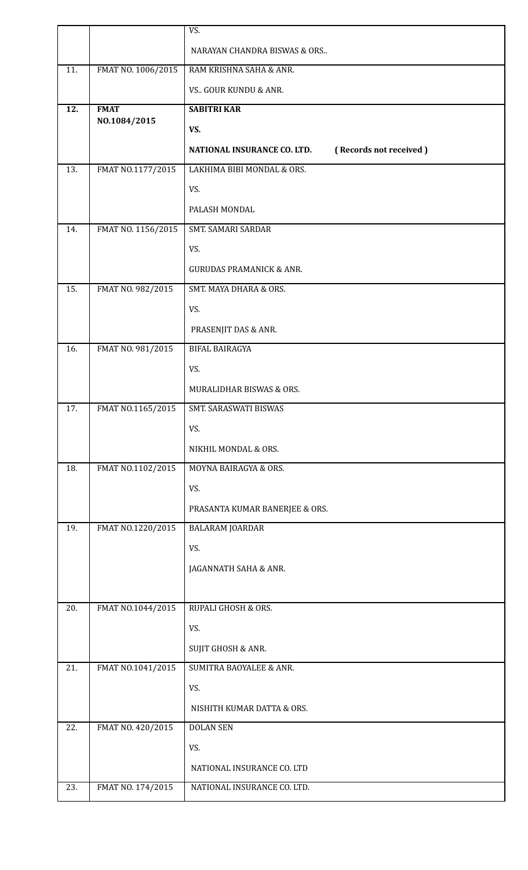|                   |                    | $\overline{\mathsf{VS}}$ .                            |  |  |
|-------------------|--------------------|-------------------------------------------------------|--|--|
|                   |                    | NARAYAN CHANDRA BISWAS & ORS                          |  |  |
| 11.               | FMAT NO. 1006/2015 | RAM KRISHNA SAHA & ANR.                               |  |  |
|                   |                    | VS GOUR KUNDU & ANR.                                  |  |  |
| 12.               | <b>FMAT</b>        | <b>SABITRI KAR</b>                                    |  |  |
|                   | NO.1084/2015       | VS.                                                   |  |  |
|                   |                    | (Records not received)<br>NATIONAL INSURANCE CO. LTD. |  |  |
| $\overline{13}$ . | FMAT NO.1177/2015  | LAKHIMA BIBI MONDAL & ORS.                            |  |  |
|                   |                    | VS.                                                   |  |  |
|                   |                    | PALASH MONDAL                                         |  |  |
| 14.               | FMAT NO. 1156/2015 | <b>SMT. SAMARI SARDAR</b>                             |  |  |
|                   |                    | VS.                                                   |  |  |
|                   |                    | <b>GURUDAS PRAMANICK &amp; ANR.</b>                   |  |  |
| 15.               | FMAT NO. 982/2015  | SMT. MAYA DHARA & ORS.                                |  |  |
|                   |                    | VS.                                                   |  |  |
|                   |                    | PRASENJIT DAS & ANR.                                  |  |  |
| 16.               | FMAT NO. 981/2015  | <b>BIFAL BAIRAGYA</b>                                 |  |  |
|                   |                    | VS.                                                   |  |  |
|                   |                    | MURALIDHAR BISWAS & ORS.                              |  |  |
| 17.               | FMAT NO.1165/2015  | SMT. SARASWATI BISWAS                                 |  |  |
|                   |                    | VS.                                                   |  |  |
|                   |                    | NIKHIL MONDAL & ORS.                                  |  |  |
| 18.               | FMAT NO.1102/2015  | MOYNA BAIRAGYA & ORS.                                 |  |  |
|                   |                    | VS.                                                   |  |  |
|                   |                    | PRASANTA KUMAR BANERJEE & ORS.                        |  |  |
| 19.               | FMAT NO.1220/2015  | <b>BALARAM JOARDAR</b>                                |  |  |
|                   |                    | VS.                                                   |  |  |
|                   |                    | JAGANNATH SAHA & ANR.                                 |  |  |
|                   |                    |                                                       |  |  |
| 20.               | FMAT NO.1044/2015  | RUPALI GHOSH & ORS.                                   |  |  |
|                   |                    | VS.                                                   |  |  |
|                   |                    | <b>SUJIT GHOSH &amp; ANR.</b>                         |  |  |
| 21.               | FMAT NO.1041/2015  | SUMITRA BAOYALEE & ANR.                               |  |  |
|                   |                    | VS.                                                   |  |  |
|                   |                    | NISHITH KUMAR DATTA & ORS.                            |  |  |
| 22.               | FMAT NO. 420/2015  | <b>DOLAN SEN</b>                                      |  |  |
|                   |                    | VS.                                                   |  |  |
|                   |                    | NATIONAL INSURANCE CO. LTD                            |  |  |
| 23.               | FMAT NO. 174/2015  | NATIONAL INSURANCE CO. LTD.                           |  |  |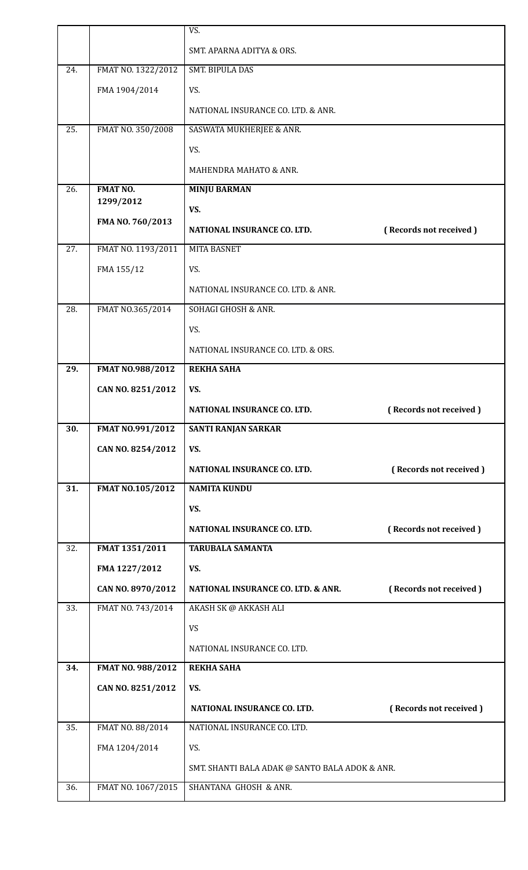|     |                         | VS.                                            |                        |
|-----|-------------------------|------------------------------------------------|------------------------|
|     |                         | SMT. APARNA ADITYA & ORS.                      |                        |
| 24. | FMAT NO. 1322/2012      | SMT. BIPULA DAS                                |                        |
|     | FMA 1904/2014           | VS.                                            |                        |
|     |                         | NATIONAL INSURANCE CO. LTD. & ANR.             |                        |
| 25. | FMAT NO. 350/2008       | SASWATA MUKHERJEE & ANR.                       |                        |
|     |                         | VS.                                            |                        |
|     |                         | MAHENDRA MAHATO & ANR.                         |                        |
| 26. | <b>FMAT NO.</b>         | <b>MINJU BARMAN</b>                            |                        |
|     | 1299/2012               | VS.                                            |                        |
|     | FMA NO. 760/2013        | NATIONAL INSURANCE CO. LTD.                    | (Records not received) |
| 27. | FMAT NO. 1193/2011      | <b>MITA BASNET</b>                             |                        |
|     | FMA 155/12              | VS.                                            |                        |
|     |                         | NATIONAL INSURANCE CO. LTD. & ANR.             |                        |
| 28. | FMAT NO.365/2014        | SOHAGI GHOSH & ANR.                            |                        |
|     |                         | VS.                                            |                        |
|     |                         | NATIONAL INSURANCE CO. LTD. & ORS.             |                        |
| 29. | FMAT NO.988/2012        | <b>REKHA SAHA</b>                              |                        |
|     | CAN NO. 8251/2012       | VS.                                            |                        |
|     |                         | NATIONAL INSURANCE CO. LTD.                    | (Records not received) |
| 30. | FMAT NO.991/2012        | <b>SANTI RANJAN SARKAR</b>                     |                        |
|     | CAN NO. 8254/2012       | VS.                                            |                        |
|     |                         | NATIONAL INSURANCE CO. LTD.                    | (Records not received) |
| 31. | <b>FMAT NO.105/2012</b> | <b>NAMITA KUNDU</b>                            |                        |
|     |                         | VS.                                            |                        |
|     |                         | NATIONAL INSURANCE CO. LTD.                    | (Records not received) |
| 32. | FMAT 1351/2011          | <b>TARUBALA SAMANTA</b>                        |                        |
|     | FMA 1227/2012           | VS.                                            |                        |
|     | CAN NO. 8970/2012       | NATIONAL INSURANCE CO. LTD. & ANR.             | (Records not received) |
| 33. | FMAT NO. 743/2014       | AKASH SK @ AKKASH ALI                          |                        |
|     |                         | VS                                             |                        |
|     |                         | NATIONAL INSURANCE CO. LTD.                    |                        |
| 34. | FMAT NO. 988/2012       | <b>REKHA SAHA</b>                              |                        |
|     | CAN NO. 8251/2012       | VS.                                            |                        |
|     |                         | NATIONAL INSURANCE CO. LTD.                    | (Records not received) |
| 35. | FMAT NO. 88/2014        | NATIONAL INSURANCE CO. LTD.                    |                        |
|     | FMA 1204/2014           | VS.                                            |                        |
|     |                         | SMT. SHANTI BALA ADAK @ SANTO BALA ADOK & ANR. |                        |
| 36. | FMAT NO. 1067/2015      | SHANTANA GHOSH & ANR.                          |                        |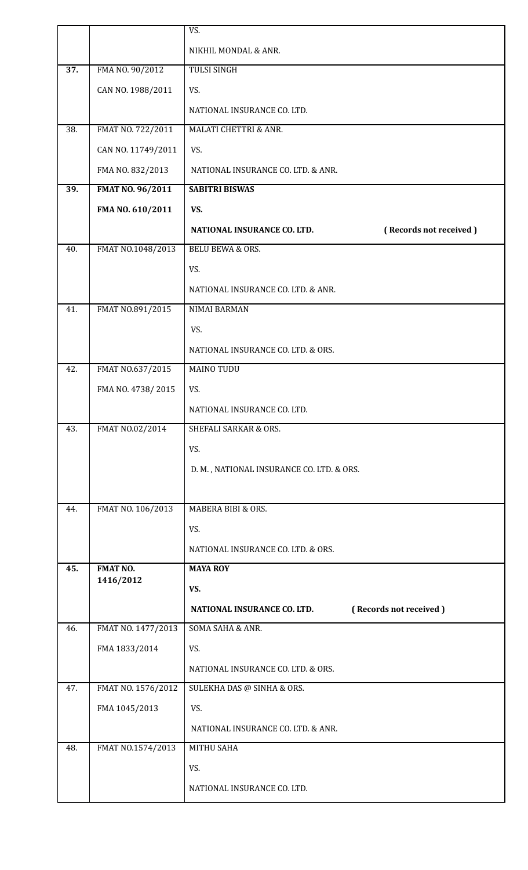|     |                    | VS.                                                   |  |  |
|-----|--------------------|-------------------------------------------------------|--|--|
|     |                    | NIKHIL MONDAL & ANR.                                  |  |  |
| 37. | FMA NO. 90/2012    | TULSI SINGH                                           |  |  |
|     | CAN NO. 1988/2011  | VS.                                                   |  |  |
|     |                    | NATIONAL INSURANCE CO. LTD.                           |  |  |
| 38. | FMAT NO. 722/2011  | MALATI CHETTRI & ANR.                                 |  |  |
|     | CAN NO. 11749/2011 | VS.                                                   |  |  |
|     | FMA NO. 832/2013   | NATIONAL INSURANCE CO. LTD. & ANR.                    |  |  |
| 39. | FMAT NO. 96/2011   | <b>SABITRI BISWAS</b>                                 |  |  |
|     | FMA NO. 610/2011   | VS.                                                   |  |  |
|     |                    | (Records not received)<br>NATIONAL INSURANCE CO. LTD. |  |  |
| 40. | FMAT NO.1048/2013  | <b>BELU BEWA &amp; ORS.</b>                           |  |  |
|     |                    | VS.                                                   |  |  |
|     |                    | NATIONAL INSURANCE CO. LTD. & ANR.                    |  |  |
| 41. | FMAT NO.891/2015   | NIMAI BARMAN                                          |  |  |
|     |                    | VS.                                                   |  |  |
|     |                    | NATIONAL INSURANCE CO. LTD. & ORS.                    |  |  |
| 42. | FMAT NO.637/2015   | <b>MAINO TUDU</b>                                     |  |  |
|     | FMA NO. 4738/2015  | VS.                                                   |  |  |
|     |                    | NATIONAL INSURANCE CO. LTD.                           |  |  |
| 43. | FMAT NO.02/2014    | SHEFALI SARKAR & ORS.                                 |  |  |
|     |                    | VS.                                                   |  |  |
|     |                    | D. M., NATIONAL INSURANCE CO. LTD. & ORS.             |  |  |
|     |                    |                                                       |  |  |
| 44. | FMAT NO. 106/2013  | MABERA BIBI & ORS.                                    |  |  |
|     |                    | VS.                                                   |  |  |
|     |                    | NATIONAL INSURANCE CO. LTD. & ORS.                    |  |  |
| 45. | FMAT NO.           | <b>MAYA ROY</b>                                       |  |  |
|     | 1416/2012          | VS.                                                   |  |  |
|     |                    | (Records not received)<br>NATIONAL INSURANCE CO. LTD. |  |  |
| 46. | FMAT NO. 1477/2013 | SOMA SAHA & ANR.                                      |  |  |
|     | FMA 1833/2014      | VS.                                                   |  |  |
|     |                    | NATIONAL INSURANCE CO. LTD. & ORS.                    |  |  |
| 47. | FMAT NO. 1576/2012 | SULEKHA DAS @ SINHA & ORS.                            |  |  |
|     | FMA 1045/2013      | VS.                                                   |  |  |
|     |                    | NATIONAL INSURANCE CO. LTD. & ANR.                    |  |  |
| 48. | FMAT NO.1574/2013  | <b>MITHU SAHA</b>                                     |  |  |
|     |                    | VS.                                                   |  |  |
|     |                    | NATIONAL INSURANCE CO. LTD.                           |  |  |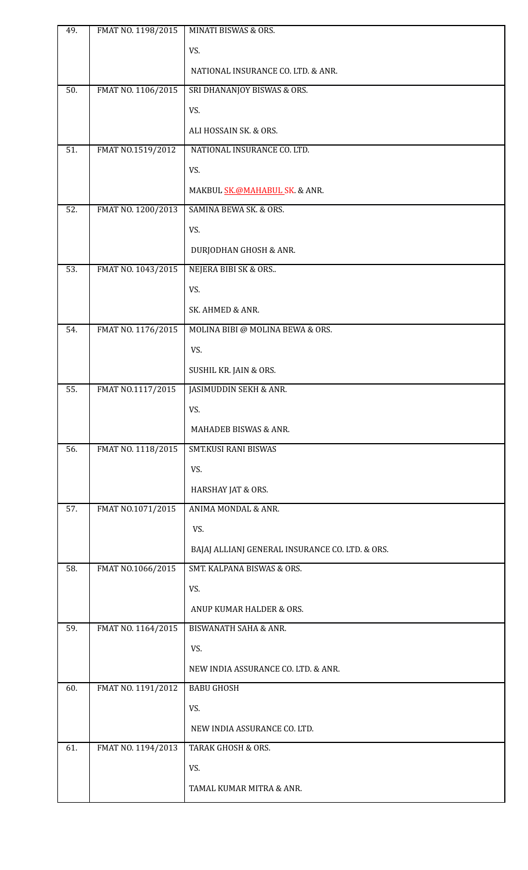| 49. | FMAT NO. 1198/2015 | MINATI BISWAS & ORS.                            |  |
|-----|--------------------|-------------------------------------------------|--|
|     |                    | VS.                                             |  |
|     |                    | NATIONAL INSURANCE CO. LTD. & ANR.              |  |
| 50. | FMAT NO. 1106/2015 | SRI DHANANJOY BISWAS & ORS.                     |  |
|     |                    | VS.                                             |  |
|     |                    | ALI HOSSAIN SK. & ORS.                          |  |
| 51. | FMAT NO.1519/2012  | NATIONAL INSURANCE CO. LTD.                     |  |
|     |                    | VS.                                             |  |
|     |                    | MAKBUL SK.@MAHABUL SK. & ANR.                   |  |
| 52. | FMAT NO. 1200/2013 | SAMINA BEWA SK. & ORS.                          |  |
|     |                    | VS.                                             |  |
|     |                    | DURJODHAN GHOSH & ANR.                          |  |
| 53. | FMAT NO. 1043/2015 | NEJERA BIBI SK & ORS                            |  |
|     |                    | VS.                                             |  |
|     |                    | SK. AHMED & ANR.                                |  |
| 54. | FMAT NO. 1176/2015 | MOLINA BIBI @ MOLINA BEWA & ORS.                |  |
|     |                    | VS.                                             |  |
|     |                    | SUSHIL KR. JAIN & ORS.                          |  |
| 55. | FMAT NO.1117/2015  | JASIMUDDIN SEKH & ANR.                          |  |
|     |                    | VS.                                             |  |
|     |                    | MAHADEB BISWAS & ANR.                           |  |
| 56. | FMAT NO. 1118/2015 | SMT.KUSI RANI BISWAS                            |  |
|     |                    | VS.                                             |  |
|     |                    | HARSHAY JAT & ORS.                              |  |
| 57. | FMAT NO.1071/2015  | ANIMA MONDAL & ANR.                             |  |
|     |                    | VS.                                             |  |
|     |                    | BAJAJ ALLIANJ GENERAL INSURANCE CO. LTD. & ORS. |  |
| 58. | FMAT NO.1066/2015  | SMT. KALPANA BISWAS & ORS.                      |  |
|     |                    | VS.                                             |  |
|     |                    | ANUP KUMAR HALDER & ORS.                        |  |
| 59. | FMAT NO. 1164/2015 | <b>BISWANATH SAHA &amp; ANR.</b>                |  |
|     |                    | VS.                                             |  |
|     |                    | NEW INDIA ASSURANCE CO. LTD. & ANR.             |  |
| 60. | FMAT NO. 1191/2012 | <b>BABU GHOSH</b>                               |  |
|     |                    | VS.                                             |  |
|     |                    | NEW INDIA ASSURANCE CO. LTD.                    |  |
| 61. | FMAT NO. 1194/2013 | TARAK GHOSH & ORS.                              |  |
|     |                    | VS.                                             |  |
|     |                    | TAMAL KUMAR MITRA & ANR.                        |  |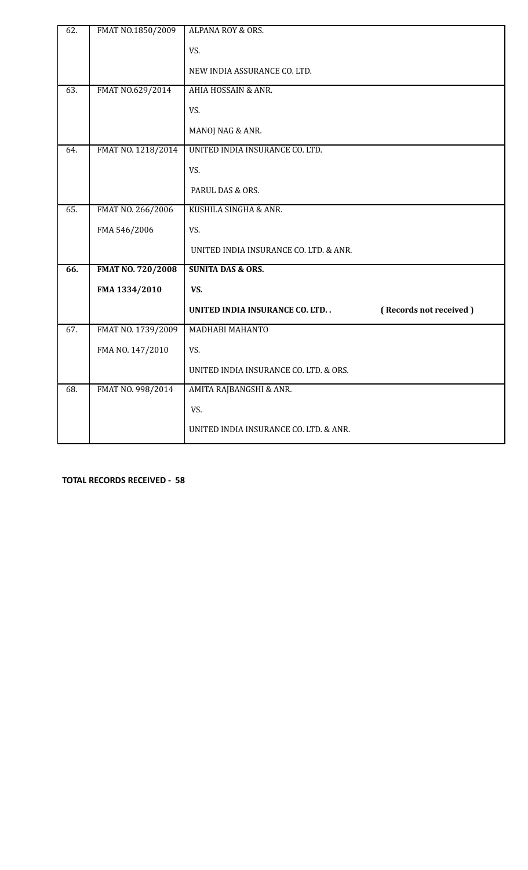| $\overline{62}$ . | FMAT NO.1850/2009        | ALPANA ROY & ORS.                                           |
|-------------------|--------------------------|-------------------------------------------------------------|
|                   |                          | VS.                                                         |
|                   |                          | NEW INDIA ASSURANCE CO. LTD.                                |
| 63.               | FMAT N0.629/2014         | AHIA HOSSAIN & ANR.                                         |
|                   |                          | VS.                                                         |
|                   |                          | MANOJ NAG & ANR.                                            |
| 64.               | FMAT NO. 1218/2014       | UNITED INDIA INSURANCE CO. LTD.                             |
|                   |                          | VS.                                                         |
|                   |                          | PARUL DAS & ORS.                                            |
| 65.               | FMAT NO. 266/2006        | KUSHILA SINGHA & ANR.                                       |
|                   | FMA 546/2006             | VS.                                                         |
|                   |                          | UNITED INDIA INSURANCE CO. LTD. & ANR.                      |
| 66.               | <b>FMAT NO. 720/2008</b> | <b>SUNITA DAS &amp; ORS.</b>                                |
|                   | FMA 1334/2010            | VS.                                                         |
|                   |                          | (Records not received)<br>UNITED INDIA INSURANCE CO. LTD. . |
| 67.               | FMAT NO. 1739/2009       | MADHABI MAHANTO                                             |
|                   | FMA NO. 147/2010         | VS.                                                         |
|                   |                          | UNITED INDIA INSURANCE CO. LTD. & ORS.                      |
| 68.               | FMAT NO. 998/2014        | AMITA RAJBANGSHI & ANR.                                     |
|                   |                          | VS.                                                         |
|                   |                          | UNITED INDIA INSURANCE CO. LTD. & ANR.                      |

**TOTAL RECORDS RECEIVED - 58**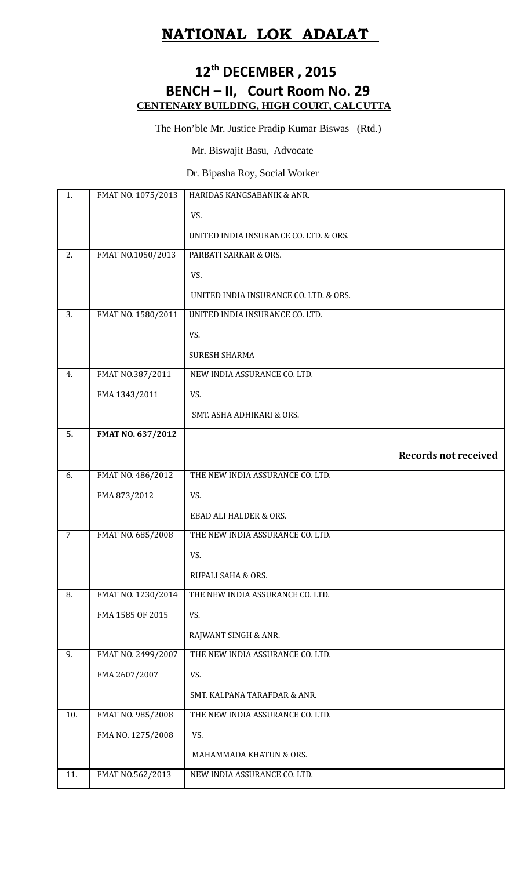## **NATIONAL LOK ADALAT**

## **12th DECEMBER , 2015 BENCH – II, Court Room No. 29 CENTENARY BUILDING, HIGH COURT, CALCUTTA**

The Hon'ble Mr. Justice Pradip Kumar Biswas (Rtd.)

Mr. Biswajit Basu, Advocate

Dr. Bipasha Roy, Social Worker

| 1.             | FMAT NO. 1075/2013 | HARIDAS KANGSABANIK & ANR.             |
|----------------|--------------------|----------------------------------------|
|                |                    | VS.                                    |
|                |                    | UNITED INDIA INSURANCE CO. LTD. & ORS. |
| 2.             | FMAT NO.1050/2013  | PARBATI SARKAR & ORS.                  |
|                |                    | VS.                                    |
|                |                    | UNITED INDIA INSURANCE CO. LTD. & ORS. |
| 3.             | FMAT NO. 1580/2011 | UNITED INDIA INSURANCE CO. LTD.        |
|                |                    | VS.                                    |
|                |                    | <b>SURESH SHARMA</b>                   |
| 4.             | FMAT NO.387/2011   | NEW INDIA ASSURANCE CO. LTD.           |
|                | FMA 1343/2011      | VS.                                    |
|                |                    | SMT. ASHA ADHIKARI & ORS.              |
| 5.             | FMAT NO. 637/2012  |                                        |
|                |                    | <b>Records not received</b>            |
| 6.             | FMAT NO. 486/2012  | THE NEW INDIA ASSURANCE CO. LTD.       |
|                | FMA 873/2012       | VS.                                    |
|                |                    | EBAD ALI HALDER & ORS.                 |
| $\overline{7}$ | FMAT NO. 685/2008  | THE NEW INDIA ASSURANCE CO. LTD.       |
|                |                    | VS.                                    |
|                |                    | RUPALI SAHA & ORS.                     |
| 8.             | FMAT NO. 1230/2014 | THE NEW INDIA ASSURANCE CO. LTD.       |
|                | FMA 1585 OF 2015   | VS.                                    |
|                |                    | RAJWANT SINGH & ANR.                   |
| 9.             | FMAT NO. 2499/2007 | THE NEW INDIA ASSURANCE CO. LTD.       |
|                | FMA 2607/2007      | VS.                                    |
|                |                    | SMT. KALPANA TARAFDAR & ANR.           |
| 10.            | FMAT NO. 985/2008  | THE NEW INDIA ASSURANCE CO. LTD.       |
|                | FMA NO. 1275/2008  | VS.                                    |
|                |                    | MAHAMMADA KHATUN & ORS.                |
| 11.            |                    |                                        |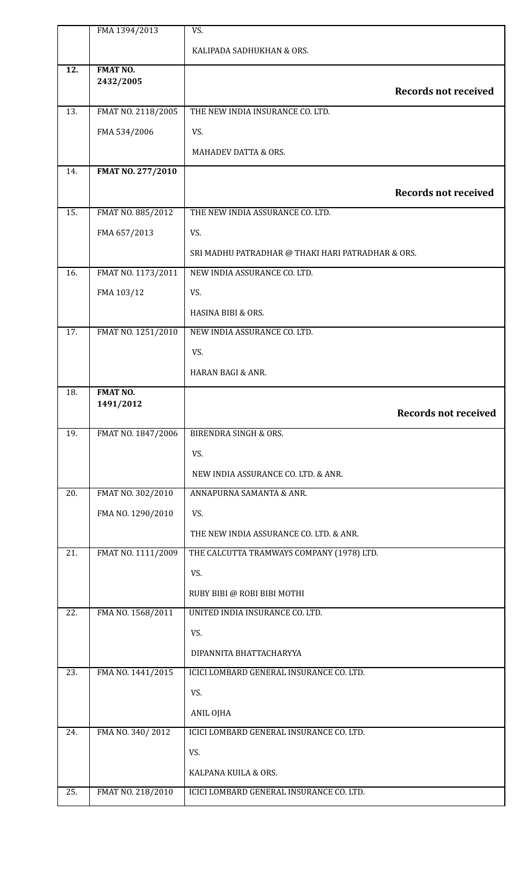|     | FMA 1394/2013         | VS.                                               |
|-----|-----------------------|---------------------------------------------------|
|     |                       | KALIPADA SADHUKHAN & ORS.                         |
| 12. | FMAT NO.<br>2432/2005 |                                                   |
|     |                       | <b>Records not received</b>                       |
| 13. | FMAT NO. 2118/2005    | THE NEW INDIA INSURANCE CO. LTD.                  |
|     | FMA 534/2006          | VS.                                               |
|     |                       | <b>MAHADEV DATTA &amp; ORS.</b>                   |
| 14. | FMAT NO. 277/2010     |                                                   |
|     |                       | <b>Records not received</b>                       |
| 15. | FMAT NO. 885/2012     | THE NEW INDIA ASSURANCE CO. LTD.                  |
|     | FMA 657/2013          | VS.                                               |
|     |                       | SRI MADHU PATRADHAR @ THAKI HARI PATRADHAR & ORS. |
| 16. | FMAT NO. 1173/2011    | NEW INDIA ASSURANCE CO. LTD.                      |
|     | FMA 103/12            | VS.                                               |
|     |                       | HASINA BIBI & ORS.                                |
| 17. | FMAT NO. 1251/2010    | NEW INDIA ASSURANCE CO. LTD.                      |
|     |                       | VS.                                               |
|     |                       | HARAN BAGI & ANR.                                 |
| 18. | FMAT NO.<br>1491/2012 |                                                   |
|     |                       | <b>Records not received</b>                       |
| 19. | FMAT NO. 1847/2006    | BIRENDRA SINGH & ORS.                             |
|     |                       | VS.                                               |
|     |                       | NEW INDIA ASSURANCE CO. LTD. & ANR.               |
| 20. | FMAT NO. 302/2010     | ANNAPURNA SAMANTA & ANR.                          |
|     | FMA NO. 1290/2010     | VS.                                               |
|     |                       | THE NEW INDIA ASSURANCE CO. LTD. & ANR.           |
| 21. | FMAT NO. 1111/2009    | THE CALCUTTA TRAMWAYS COMPANY (1978) LTD.         |
|     |                       | VS.                                               |
|     |                       | RUBY BIBI @ ROBI BIBI MOTHI                       |
| 22. | FMA NO. 1568/2011     | UNITED INDIA INSURANCE CO. LTD.                   |
|     |                       | VS.                                               |
|     |                       | DIPANNITA BHATTACHARYYA                           |
| 23. | FMA NO. 1441/2015     | ICICI LOMBARD GENERAL INSURANCE CO. LTD.          |
|     |                       | VS.                                               |
|     |                       | <b>ANIL OJHA</b>                                  |
| 24. | FMA NO. 340/2012      | ICICI LOMBARD GENERAL INSURANCE CO. LTD.          |
|     |                       | VS.                                               |
|     |                       | KALPANA KUILA & ORS.                              |
| 25. | FMAT NO. 218/2010     | ICICI LOMBARD GENERAL INSURANCE CO. LTD.          |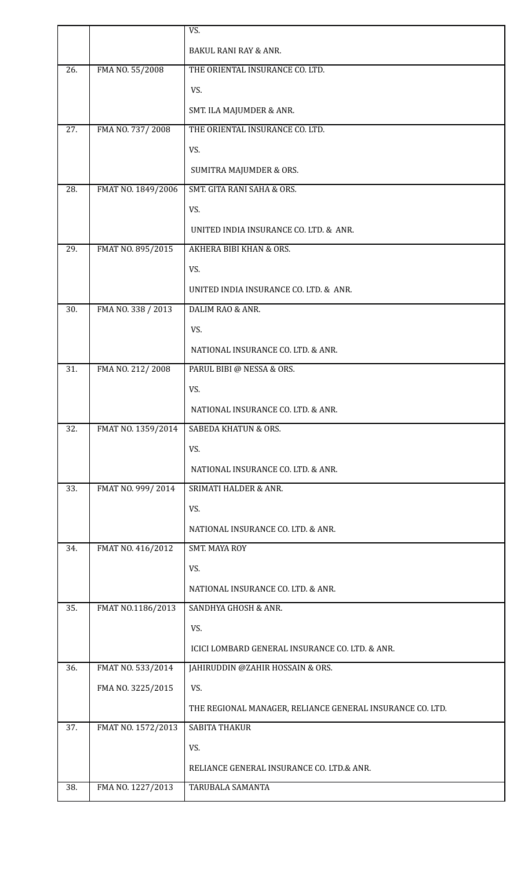|     |                    | VS.                                                       |  |
|-----|--------------------|-----------------------------------------------------------|--|
|     |                    | BAKUL RANI RAY & ANR.                                     |  |
| 26. | FMA NO. 55/2008    | THE ORIENTAL INSURANCE CO. LTD.                           |  |
|     |                    | VS.                                                       |  |
|     |                    | SMT. ILA MAJUMDER & ANR.                                  |  |
| 27. | FMA NO. 737/2008   | THE ORIENTAL INSURANCE CO. LTD.                           |  |
|     |                    | VS.                                                       |  |
|     |                    | SUMITRA MAJUMDER & ORS.                                   |  |
| 28. | FMAT NO. 1849/2006 | SMT. GITA RANI SAHA & ORS.                                |  |
|     |                    | VS.                                                       |  |
|     |                    | UNITED INDIA INSURANCE CO. LTD. & ANR.                    |  |
| 29. | FMAT NO. 895/2015  | AKHERA BIBI KHAN & ORS.                                   |  |
|     |                    | VS.                                                       |  |
|     |                    | UNITED INDIA INSURANCE CO. LTD. & ANR.                    |  |
| 30. | FMA NO. 338 / 2013 | DALIM RAO & ANR.                                          |  |
|     |                    | VS.                                                       |  |
|     |                    | NATIONAL INSURANCE CO. LTD. & ANR.                        |  |
| 31. | FMA NO. 212/2008   | PARUL BIBI @ NESSA & ORS.                                 |  |
|     |                    | VS.                                                       |  |
|     |                    | NATIONAL INSURANCE CO. LTD. & ANR.                        |  |
| 32. | FMAT NO. 1359/2014 | SABEDA KHATUN & ORS.                                      |  |
|     |                    | VS.                                                       |  |
|     |                    | NATIONAL INSURANCE CO. LTD. & ANR.                        |  |
| 33. | FMAT NO. 999/2014  | SRIMATI HALDER & ANR.                                     |  |
|     |                    | VS.                                                       |  |
|     |                    | NATIONAL INSURANCE CO. LTD. & ANR.                        |  |
| 34. | FMAT NO. 416/2012  | <b>SMT. MAYA ROY</b>                                      |  |
|     |                    | VS.                                                       |  |
|     |                    | NATIONAL INSURANCE CO. LTD. & ANR.                        |  |
| 35. | FMAT NO.1186/2013  | SANDHYA GHOSH & ANR.                                      |  |
|     |                    | VS.                                                       |  |
|     |                    | ICICI LOMBARD GENERAL INSURANCE CO. LTD. & ANR.           |  |
| 36. | FMAT NO. 533/2014  | JAHIRUDDIN @ZAHIR HOSSAIN & ORS.                          |  |
|     | FMA NO. 3225/2015  | VS.                                                       |  |
|     |                    | THE REGIONAL MANAGER, RELIANCE GENERAL INSURANCE CO. LTD. |  |
| 37. | FMAT NO. 1572/2013 | <b>SABITA THAKUR</b>                                      |  |
|     |                    | VS.                                                       |  |
|     |                    | RELIANCE GENERAL INSURANCE CO. LTD.& ANR.                 |  |
| 38. | FMA NO. 1227/2013  | TARUBALA SAMANTA                                          |  |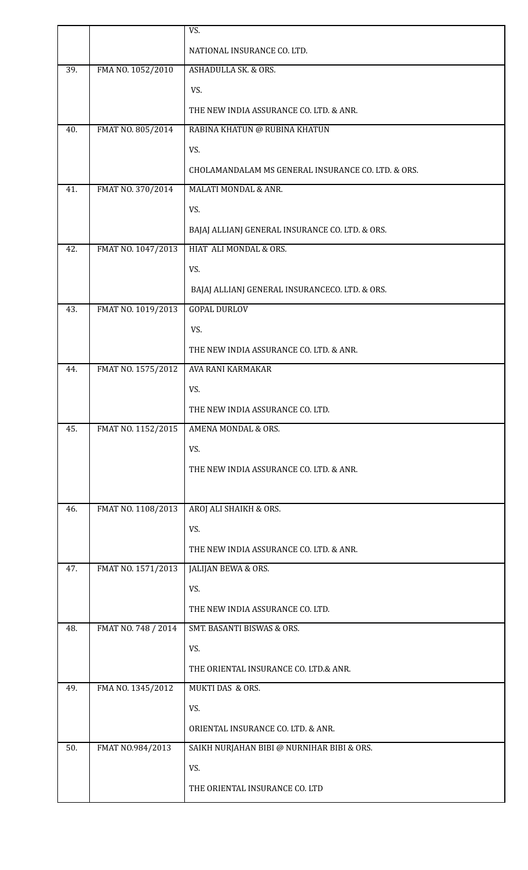|     |                     | VS.                                                |  |  |
|-----|---------------------|----------------------------------------------------|--|--|
|     |                     | NATIONAL INSURANCE CO. LTD.                        |  |  |
| 39. | FMA NO. 1052/2010   | ASHADULLA SK. & ORS.                               |  |  |
|     |                     | VS.                                                |  |  |
|     |                     | THE NEW INDIA ASSURANCE CO. LTD. & ANR.            |  |  |
| 40. | FMAT NO. 805/2014   | RABINA KHATUN @ RUBINA KHATUN                      |  |  |
|     |                     | VS.                                                |  |  |
|     |                     | CHOLAMANDALAM MS GENERAL INSURANCE CO. LTD. & ORS. |  |  |
| 41. | FMAT NO. 370/2014   | MALATI MONDAL & ANR.                               |  |  |
|     |                     | VS.                                                |  |  |
|     |                     | BAJAJ ALLIANJ GENERAL INSURANCE CO. LTD. & ORS.    |  |  |
| 42. | FMAT NO. 1047/2013  | HIAT ALI MONDAL & ORS.                             |  |  |
|     |                     | VS.                                                |  |  |
|     |                     | BAJAJ ALLIANJ GENERAL INSURANCECO. LTD. & ORS.     |  |  |
| 43. | FMAT NO. 1019/2013  | <b>GOPAL DURLOV</b>                                |  |  |
|     |                     | VS.                                                |  |  |
|     |                     | THE NEW INDIA ASSURANCE CO. LTD. & ANR.            |  |  |
| 44. | FMAT NO. 1575/2012  | AVA RANI KARMAKAR                                  |  |  |
|     |                     | VS.                                                |  |  |
|     |                     | THE NEW INDIA ASSURANCE CO. LTD.                   |  |  |
| 45. | FMAT NO. 1152/2015  | AMENA MONDAL & ORS.                                |  |  |
|     |                     | VS.                                                |  |  |
|     |                     | THE NEW INDIA ASSURANCE CO. LTD. & ANR.            |  |  |
|     |                     |                                                    |  |  |
| 46. | FMAT NO. 1108/2013  | AROJ ALI SHAIKH & ORS.                             |  |  |
|     |                     | VS.                                                |  |  |
|     |                     | THE NEW INDIA ASSURANCE CO. LTD. & ANR.            |  |  |
| 47. | FMAT NO. 1571/2013  | JALIJAN BEWA & ORS.                                |  |  |
|     |                     | VS.                                                |  |  |
|     |                     | THE NEW INDIA ASSURANCE CO. LTD.                   |  |  |
| 48. | FMAT NO. 748 / 2014 | <b>SMT. BASANTI BISWAS &amp; ORS.</b>              |  |  |
|     |                     | VS.                                                |  |  |
|     |                     | THE ORIENTAL INSURANCE CO. LTD.& ANR.              |  |  |
| 49. | FMA NO. 1345/2012   | MUKTI DAS & ORS.                                   |  |  |
|     |                     | VS.                                                |  |  |
|     |                     | ORIENTAL INSURANCE CO. LTD. & ANR.                 |  |  |
| 50. | FMAT NO.984/2013    | SAIKH NURJAHAN BIBI @ NURNIHAR BIBI & ORS.         |  |  |
|     |                     | VS.                                                |  |  |
|     |                     | THE ORIENTAL INSURANCE CO. LTD                     |  |  |